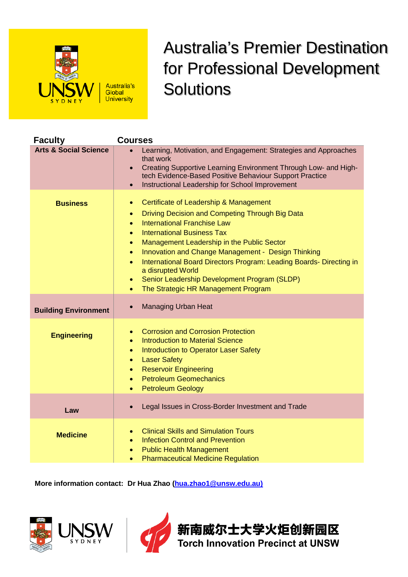

## Australia's Premier Destination for Professional Development **Solutions**

| <b>Faculty</b>                   | <b>Courses</b>                                                                                                                                                                                                                                                                                                                                                                                                                                                                                                                                                           |
|----------------------------------|--------------------------------------------------------------------------------------------------------------------------------------------------------------------------------------------------------------------------------------------------------------------------------------------------------------------------------------------------------------------------------------------------------------------------------------------------------------------------------------------------------------------------------------------------------------------------|
| <b>Arts &amp; Social Science</b> | Learning, Motivation, and Engagement: Strategies and Approaches<br>that work<br>Creating Supportive Learning Environment Through Low- and High-<br>$\bullet$<br>tech Evidence-Based Positive Behaviour Support Practice<br>Instructional Leadership for School Improvement<br>$\bullet$                                                                                                                                                                                                                                                                                  |
| <b>Business</b>                  | Certificate of Leadership & Management<br>$\bullet$<br>Driving Decision and Competing Through Big Data<br>$\bullet$<br><b>International Franchise Law</b><br>$\bullet$<br><b>International Business Tax</b><br>$\bullet$<br>Management Leadership in the Public Sector<br>۰<br>Innovation and Change Management - Design Thinking<br>$\bullet$<br>International Board Directors Program: Leading Boards- Directing in<br>$\bullet$<br>a disrupted World<br>Senior Leadership Development Program (SLDP)<br>$\bullet$<br>The Strategic HR Management Program<br>$\bullet$ |
| <b>Building Environment</b>      | <b>Managing Urban Heat</b><br>$\bullet$                                                                                                                                                                                                                                                                                                                                                                                                                                                                                                                                  |
| <b>Engineering</b>               | <b>Corrosion and Corrosion Protection</b><br>$\bullet$<br><b>Introduction to Material Science</b><br>$\bullet$<br>Introduction to Operator Laser Safety<br>$\bullet$<br><b>Laser Safety</b><br>$\bullet$<br><b>Reservoir Engineering</b><br>$\bullet$<br><b>Petroleum Geomechanics</b><br>$\bullet$<br><b>Petroleum Geology</b><br>$\bullet$                                                                                                                                                                                                                             |
| Law                              | Legal Issues in Cross-Border Investment and Trade                                                                                                                                                                                                                                                                                                                                                                                                                                                                                                                        |
| <b>Medicine</b>                  | <b>Clinical Skills and Simulation Tours</b><br><b>Infection Control and Prevention</b><br>$\bullet$<br><b>Public Health Management</b><br>$\bullet$<br><b>Pharmaceutical Medicine Regulation</b><br>$\bullet$                                                                                                                                                                                                                                                                                                                                                            |

**More information contact: Dr Hua Zhao [\(hua.zhao1@unsw.edu.au\)](mailto:hua.zhao1@unsw.edu.au)**